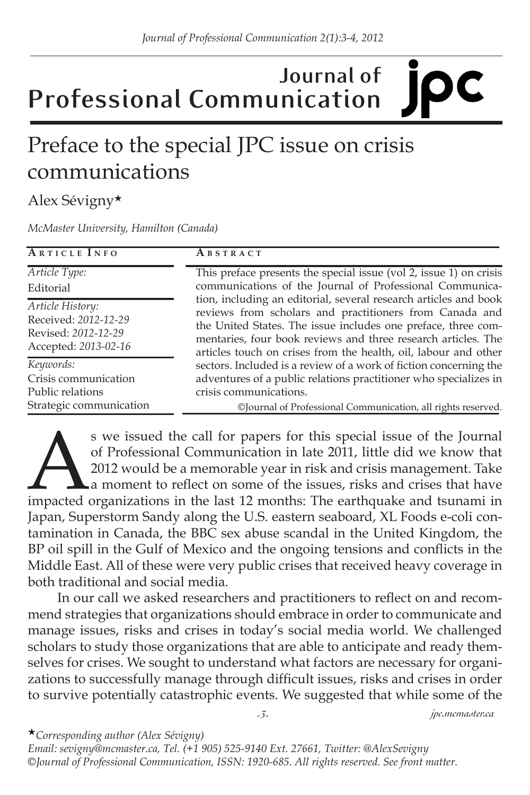## **Journal of Professional Communication**

## Preface to the special JPC issue on crisis communications

## Alex Sévigny★

*McMaster University, Hamilton (Canada)*

| <b>ARTICLE INFO</b>                                                                     | ABSTRACT                                                                                                                                                                                                                                                                                                                                                                                                                                                                                                                                                                                                                              |
|-----------------------------------------------------------------------------------------|---------------------------------------------------------------------------------------------------------------------------------------------------------------------------------------------------------------------------------------------------------------------------------------------------------------------------------------------------------------------------------------------------------------------------------------------------------------------------------------------------------------------------------------------------------------------------------------------------------------------------------------|
| Article Type:<br>Editorial                                                              | This preface presents the special issue (vol 2, issue 1) on crisis<br>communications of the Journal of Professional Communica-<br>tion, including an editorial, several research articles and book<br>reviews from scholars and practitioners from Canada and<br>the United States. The issue includes one preface, three com-<br>mentaries, four book reviews and three research articles. The<br>articles touch on crises from the health, oil, labour and other<br>sectors. Included is a review of a work of fiction concerning the<br>adventures of a public relations practitioner who specializes in<br>crisis communications. |
| Article History:<br>Received: 2012-12-29<br>Revised: 2012-12-29<br>Accepted: 2013-02-16 |                                                                                                                                                                                                                                                                                                                                                                                                                                                                                                                                                                                                                                       |
| Keywords:<br>Crisis communication<br>Public relations                                   |                                                                                                                                                                                                                                                                                                                                                                                                                                                                                                                                                                                                                                       |
| Strategic communication                                                                 | ©Journal of Professional Communication, all rights reserved.                                                                                                                                                                                                                                                                                                                                                                                                                                                                                                                                                                          |

s we issued the call for papers for this special issue of the Journal<br>of Professional Communication in late 2011, little did we know that<br>2012 would be a memorable year in risk and crisis management. Take<br>a moment to refle of Professional Communication in late 2011, little did we know that 2012 would be a memorable year in risk and crisis management. Take a moment to reflect on some of the issues, risks and crises that have Japan, Superstorm Sandy along the U.S. eastern seaboard, XL Foods e-coli contamination in Canada, the BBC sex abuse scandal in the United Kingdom, the BP oil spill in the Gulf of Mexico and the ongoing tensions and conflicts in the Middle East. All of these were very public crises that received heavy coverage in both traditional and social media.

In our call we asked researchers and practitioners to reflect on and recommend strategies that organizations should embrace in order to communicate and manage issues, risks and crises in today's social media world. We challenged scholars to study those organizations that are able to anticipate and ready themselves for crises. We sought to understand what factors are necessary for organizations to successfully manage through difficult issues, risks and crises in order to survive potentially catastrophic events. We suggested that while some of the

*-3- jpc.mcmaster.ca*

★*Corresponding author (Alex Sévigny)* 

*Email: sevigny@mcmaster.ca, Tel. (+1 905) 525-9140 Ext. 27661, Twitter: @AlexSevigny ©Journal of Professional Communication, ISSN: 1920-685. All rights reserved. See front matter.*